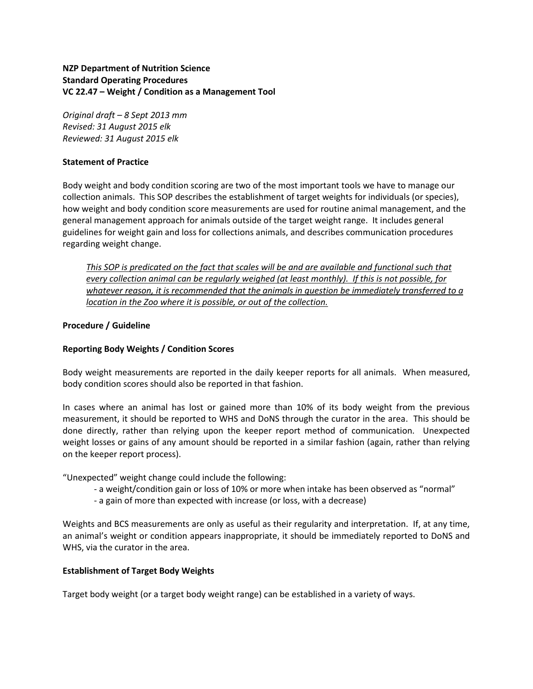### **NZP Department of Nutrition Science Standard Operating Procedures VC 22.47 – Weight / Condition as a Management Tool**

*Original draft – 8 Sept 2013 mm Revised: 31 August 2015 elk Reviewed: 31 August 2015 elk*

#### **Statement of Practice**

Body weight and body condition scoring are two of the most important tools we have to manage our collection animals. This SOP describes the establishment of target weights for individuals (or species), how weight and body condition score measurements are used for routine animal management, and the general management approach for animals outside of the target weight range. It includes general guidelines for weight gain and loss for collections animals, and describes communication procedures regarding weight change.

*This SOP is predicated on the fact that scales will be and are available and functional such that every collection animal can be regularly weighed (at least monthly). If this is not possible, for whatever reason, it is recommended that the animals in question be immediately transferred to a location in the Zoo where it is possible, or out of the collection.*

# **Procedure / Guideline**

## **Reporting Body Weights / Condition Scores**

Body weight measurements are reported in the daily keeper reports for all animals. When measured, body condition scores should also be reported in that fashion.

In cases where an animal has lost or gained more than 10% of its body weight from the previous measurement, it should be reported to WHS and DoNS through the curator in the area. This should be done directly, rather than relying upon the keeper report method of communication. Unexpected weight losses or gains of any amount should be reported in a similar fashion (again, rather than relying on the keeper report process).

"Unexpected" weight change could include the following:

- a weight/condition gain or loss of 10% or more when intake has been observed as "normal"
- a gain of more than expected with increase (or loss, with a decrease)

Weights and BCS measurements are only as useful as their regularity and interpretation. If, at any time, an animal's weight or condition appears inappropriate, it should be immediately reported to DoNS and WHS, via the curator in the area.

#### **Establishment of Target Body Weights**

Target body weight (or a target body weight range) can be established in a variety of ways.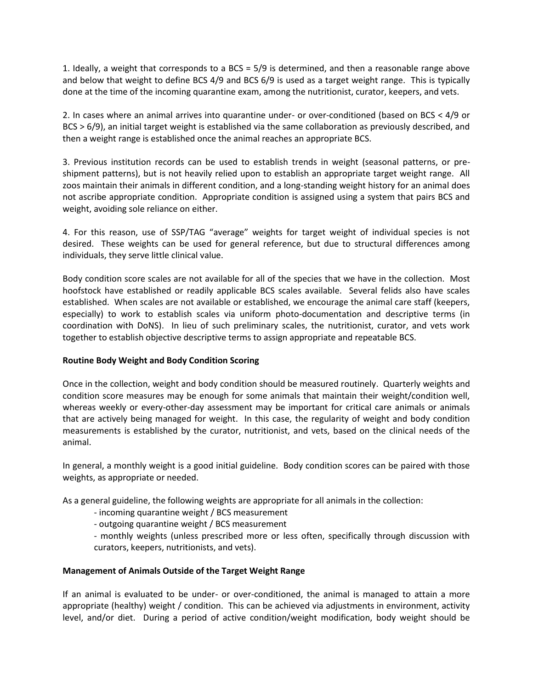1. Ideally, a weight that corresponds to a BCS = 5/9 is determined, and then a reasonable range above and below that weight to define BCS 4/9 and BCS 6/9 is used as a target weight range. This is typically done at the time of the incoming quarantine exam, among the nutritionist, curator, keepers, and vets.

2. In cases where an animal arrives into quarantine under- or over-conditioned (based on BCS < 4/9 or BCS > 6/9), an initial target weight is established via the same collaboration as previously described, and then a weight range is established once the animal reaches an appropriate BCS.

3. Previous institution records can be used to establish trends in weight (seasonal patterns, or preshipment patterns), but is not heavily relied upon to establish an appropriate target weight range. All zoos maintain their animals in different condition, and a long-standing weight history for an animal does not ascribe appropriate condition. Appropriate condition is assigned using a system that pairs BCS and weight, avoiding sole reliance on either.

4. For this reason, use of SSP/TAG "average" weights for target weight of individual species is not desired. These weights can be used for general reference, but due to structural differences among individuals, they serve little clinical value.

Body condition score scales are not available for all of the species that we have in the collection. Most hoofstock have established or readily applicable BCS scales available. Several felids also have scales established. When scales are not available or established, we encourage the animal care staff (keepers, especially) to work to establish scales via uniform photo-documentation and descriptive terms (in coordination with DoNS). In lieu of such preliminary scales, the nutritionist, curator, and vets work together to establish objective descriptive terms to assign appropriate and repeatable BCS.

#### **Routine Body Weight and Body Condition Scoring**

Once in the collection, weight and body condition should be measured routinely. Quarterly weights and condition score measures may be enough for some animals that maintain their weight/condition well, whereas weekly or every-other-day assessment may be important for critical care animals or animals that are actively being managed for weight. In this case, the regularity of weight and body condition measurements is established by the curator, nutritionist, and vets, based on the clinical needs of the animal.

In general, a monthly weight is a good initial guideline. Body condition scores can be paired with those weights, as appropriate or needed.

As a general guideline, the following weights are appropriate for all animals in the collection:

- incoming quarantine weight / BCS measurement
- outgoing quarantine weight / BCS measurement

- monthly weights (unless prescribed more or less often, specifically through discussion with curators, keepers, nutritionists, and vets).

#### **Management of Animals Outside of the Target Weight Range**

If an animal is evaluated to be under- or over-conditioned, the animal is managed to attain a more appropriate (healthy) weight / condition. This can be achieved via adjustments in environment, activity level, and/or diet. During a period of active condition/weight modification, body weight should be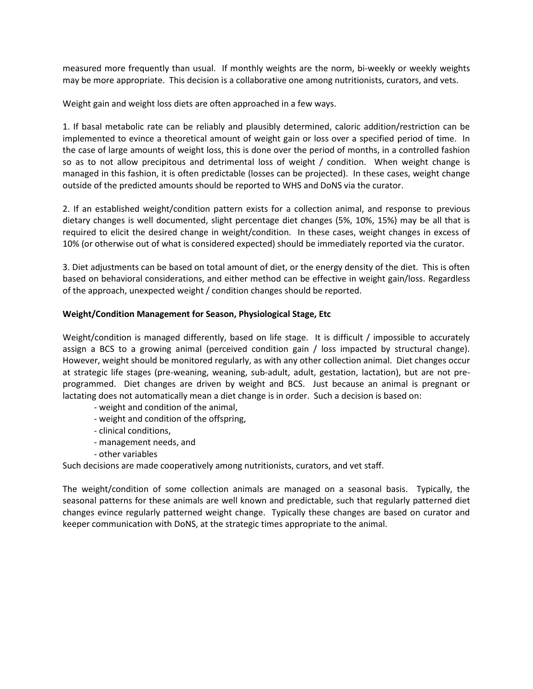measured more frequently than usual. If monthly weights are the norm, bi-weekly or weekly weights may be more appropriate. This decision is a collaborative one among nutritionists, curators, and vets.

Weight gain and weight loss diets are often approached in a few ways.

1. If basal metabolic rate can be reliably and plausibly determined, caloric addition/restriction can be implemented to evince a theoretical amount of weight gain or loss over a specified period of time. In the case of large amounts of weight loss, this is done over the period of months, in a controlled fashion so as to not allow precipitous and detrimental loss of weight / condition. When weight change is managed in this fashion, it is often predictable (losses can be projected). In these cases, weight change outside of the predicted amounts should be reported to WHS and DoNS via the curator.

2. If an established weight/condition pattern exists for a collection animal, and response to previous dietary changes is well documented, slight percentage diet changes (5%, 10%, 15%) may be all that is required to elicit the desired change in weight/condition. In these cases, weight changes in excess of 10% (or otherwise out of what is considered expected) should be immediately reported via the curator.

3. Diet adjustments can be based on total amount of diet, or the energy density of the diet. This is often based on behavioral considerations, and either method can be effective in weight gain/loss. Regardless of the approach, unexpected weight / condition changes should be reported.

#### **Weight/Condition Management for Season, Physiological Stage, Etc**

Weight/condition is managed differently, based on life stage. It is difficult / impossible to accurately assign a BCS to a growing animal (perceived condition gain / loss impacted by structural change). However, weight should be monitored regularly, as with any other collection animal. Diet changes occur at strategic life stages (pre-weaning, weaning, sub-adult, adult, gestation, lactation), but are not preprogrammed. Diet changes are driven by weight and BCS. Just because an animal is pregnant or lactating does not automatically mean a diet change is in order. Such a decision is based on:

- weight and condition of the animal,
- weight and condition of the offspring,
- clinical conditions,
- management needs, and
- other variables

Such decisions are made cooperatively among nutritionists, curators, and vet staff.

The weight/condition of some collection animals are managed on a seasonal basis. Typically, the seasonal patterns for these animals are well known and predictable, such that regularly patterned diet changes evince regularly patterned weight change. Typically these changes are based on curator and keeper communication with DoNS, at the strategic times appropriate to the animal.